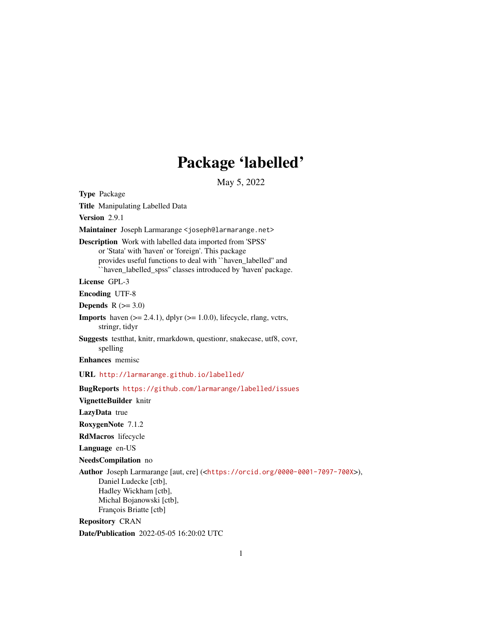# Package 'labelled'

May 5, 2022

<span id="page-0-0"></span>Type Package Title Manipulating Labelled Data Version 2.9.1 Maintainer Joseph Larmarange <joseph@larmarange.net> Description Work with labelled data imported from 'SPSS' or 'Stata' with 'haven' or 'foreign'. This package provides useful functions to deal with ``haven\_labelled'' and ``haven\_labelled\_spss'' classes introduced by 'haven' package. License GPL-3 Encoding UTF-8 **Depends**  $R$  ( $>= 3.0$ ) **Imports** haven  $(>= 2.4.1)$ , dplyr  $(>= 1.0.0)$ , lifecycle, rlang, vctrs, stringr, tidyr Suggests testthat, knitr, rmarkdown, questionr, snakecase, utf8, covr, spelling Enhances memisc URL <http://larmarange.github.io/labelled/> BugReports <https://github.com/larmarange/labelled/issues> VignetteBuilder knitr LazyData true RoxygenNote 7.1.2 RdMacros lifecycle Language en-US NeedsCompilation no Author Joseph Larmarange [aut, cre] (<<https://orcid.org/0000-0001-7097-700X>>), Daniel Ludecke [ctb], Hadley Wickham [ctb], Michal Bojanowski [ctb], François Briatte [ctb] Repository CRAN

Date/Publication 2022-05-05 16:20:02 UTC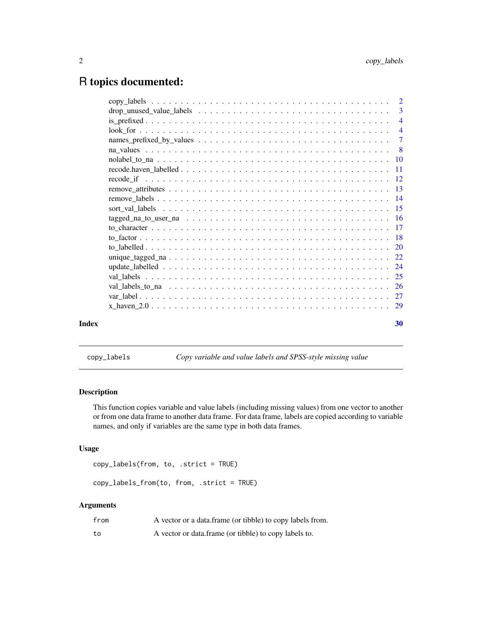# <span id="page-1-0"></span>R topics documented:

|       | 3              |
|-------|----------------|
|       | $\overline{4}$ |
|       | $\overline{4}$ |
|       |                |
|       | $\overline{8}$ |
|       |                |
|       |                |
|       |                |
|       |                |
|       |                |
|       |                |
|       |                |
|       |                |
|       |                |
|       |                |
|       |                |
|       |                |
|       |                |
|       |                |
|       |                |
|       |                |
| Index | 30             |

copy\_labels *Copy variable and value labels and SPSS-style missing value*

# Description

This function copies variable and value labels (including missing values) from one vector to another or from one data frame to another data frame. For data frame, labels are copied according to variable names, and only if variables are the same type in both data frames.

#### Usage

```
copy_labels(from, to, .strict = TRUE)
```
copy\_labels\_from(to, from, .strict = TRUE)

# Arguments

| from | A vector or a data.frame (or tibble) to copy labels from. |
|------|-----------------------------------------------------------|
| to   | A vector or data.frame (or tibble) to copy labels to.     |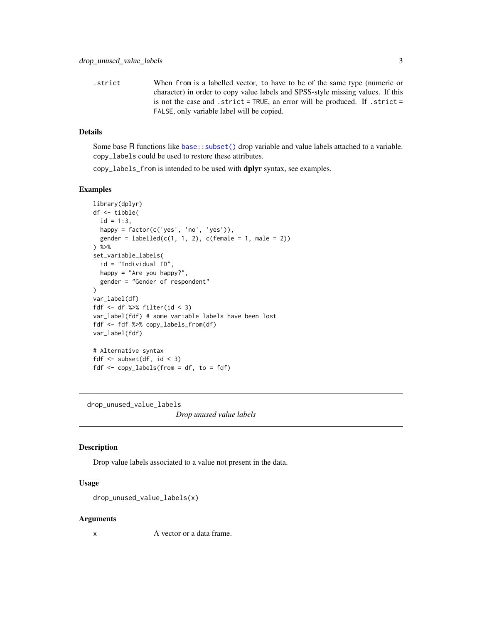<span id="page-2-0"></span>.strict When from is a labelled vector, to have to be of the same type (numeric or character) in order to copy value labels and SPSS-style missing values. If this is not the case and .strict = TRUE, an error will be produced. If .strict = FALSE, only variable label will be copied.

# Details

Some base R functions like [base::subset\(\)](#page-0-0) drop variable and value labels attached to a variable. copy\_labels could be used to restore these attributes.

copy\_labels\_from is intended to be used with dplyr syntax, see examples.

#### Examples

```
library(dplyr)
df <- tibble(
 id = 1:3,
 happy = factor(c('yes', 'no', 'yes')),
 gender = labeled(c(1, 1, 2), c(female = 1, male = 2))) %>%
set_variable_labels(
 id = "Individual ID",
 happy = "Are you happy?",
 gender = "Gender of respondent"
)
var_label(df)
fdf \le df %>% filter(id \le 3)
var_label(fdf) # some variable labels have been lost
fdf <- fdf %>% copy_labels_from(df)
var_label(fdf)
# Alternative syntax
fdf \leq subset(df, id \leq 3)
fdf \leq copy_labels(from = df, to = fdf)
```
drop\_unused\_value\_labels

*Drop unused value labels*

#### Description

Drop value labels associated to a value not present in the data.

#### Usage

```
drop_unused_value_labels(x)
```
#### Arguments

x A vector or a data frame.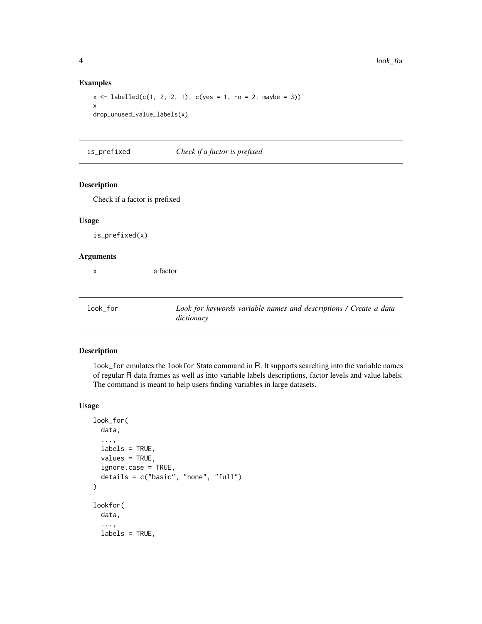#### Examples

```
x \le - labelled(c(1, 2, 2, 1), c(yes = 1, no = 2, maybe = 3))
x
drop_unused_value_labels(x)
```
is\_prefixed *Check if a factor is prefixed*

#### Description

Check if a factor is prefixed

# Usage

is\_prefixed(x)

#### Arguments

x a factor

look\_for *Look for keywords variable names and descriptions / Create a data dictionary*

# Description

look\_for emulates the lookfor Stata command in R. It supports searching into the variable names of regular R data frames as well as into variable labels descriptions, factor levels and value labels. The command is meant to help users finding variables in large datasets.

#### Usage

```
look_for(
  data,
  ...,
  labels = TRUE,
  values = TRUE,
  ignore.case = TRUE,
  details = c("basic", "none", "full")
\mathcal{L}lookfor(
  data,
  ...,
  labels = TRUE,
```
<span id="page-3-0"></span>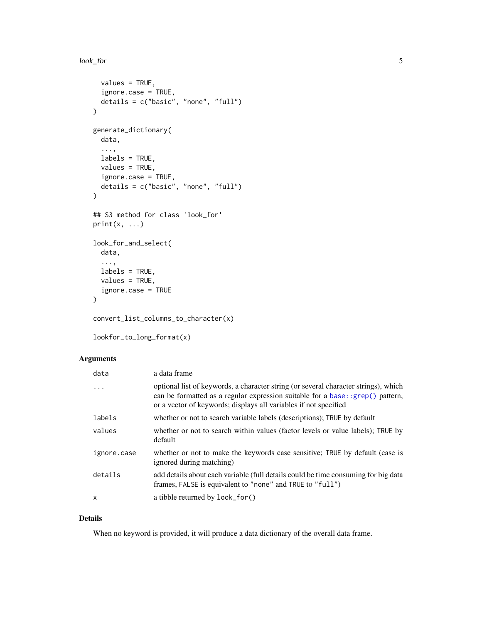#### <span id="page-4-0"></span>look\_for 5

```
values = TRUE,
  ignore.case = TRUE,
 details = c("basic", "none", "full")
\mathcal{L}generate_dictionary(
 data,
  ...,
 labels = TRUE,
 values = TRUE,
  ignore.case = TRUE,
 details = c("basic", "none", "full")
)
## S3 method for class 'look_for'
print(x, \ldots)look_for_and_select(
 data,
  ...,
 labels = TRUE,
 values = TRUE,ignore.case = TRUE
\mathcal{L}
```

```
convert_list_columns_to_character(x)
```
lookfor\_to\_long\_format(x)

# Arguments

| data         | a data frame                                                                                                                                                                                                                                        |
|--------------|-----------------------------------------------------------------------------------------------------------------------------------------------------------------------------------------------------------------------------------------------------|
| .            | optional list of keywords, a character string (or several character strings), which<br>can be formatted as a regular expression suitable for a base: : $\text{grep}()$ pattern,<br>or a vector of keywords; displays all variables if not specified |
| labels       | whether or not to search variable labels (descriptions); TRUE by default                                                                                                                                                                            |
| values       | whether or not to search within values (factor levels or value labels); TRUE by<br>default                                                                                                                                                          |
| ignore.case  | whether or not to make the keywords case sensitive; TRUE by default (case is<br>ignored during matching)                                                                                                                                            |
| details      | add details about each variable (full details could be time consuming for big data<br>frames, FALSE is equivalent to "none" and TRUE to "full")                                                                                                     |
| $\mathsf{x}$ | a tibble returned by look_for()                                                                                                                                                                                                                     |

# Details

When no keyword is provided, it will produce a data dictionary of the overall data frame.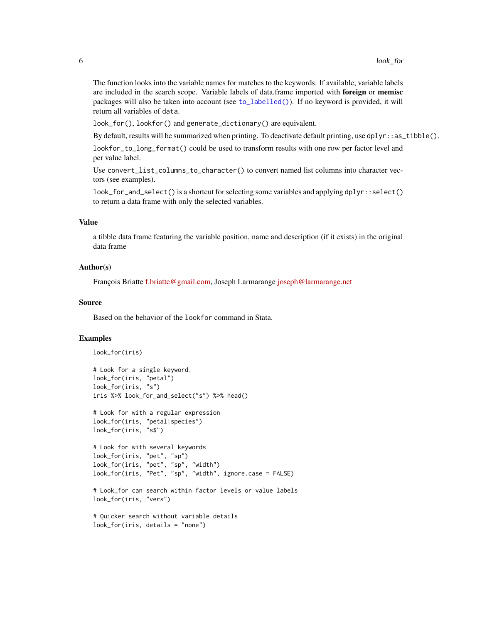<span id="page-5-0"></span>The function looks into the variable names for matches to the keywords. If available, variable labels are included in the search scope. Variable labels of data.frame imported with foreign or memisc packages will also be taken into account (see [to\\_labelled\(\)](#page-19-1)). If no keyword is provided, it will return all variables of data.

look\_for(), lookfor() and generate\_dictionary() are equivalent.

By default, results will be summarized when printing. To deactivate default printing, use dplyr: : as\_tibble().

lookfor\_to\_long\_format() could be used to transform results with one row per factor level and per value label.

Use convert\_list\_columns\_to\_character() to convert named list columns into character vectors (see examples).

look\_for\_and\_select() is a shortcut for selecting some variables and applying dplyr::select() to return a data frame with only the selected variables.

# Value

a tibble data frame featuring the variable position, name and description (if it exists) in the original data frame

#### Author(s)

François Briatte [f.briatte@gmail.com,](mailto:f.briatte@gmail.com) Joseph Larmarange [joseph@larmarange.net](mailto:joseph@larmarange.net)

#### Source

Based on the behavior of the lookfor command in Stata.

```
look_for(iris)
```

```
# Look for a single keyword.
look_for(iris, "petal")
look_for(iris, "s")
iris %>% look_for_and_select("s") %>% head()
```

```
# Look for with a regular expression
look_for(iris, "petal|species")
look_for(iris, "s$")
```

```
# Look for with several keywords
look_for(iris, "pet", "sp")
look_for(iris, "pet", "sp", "width")
look_for(iris, "Pet", "sp", "width", ignore.case = FALSE)
```

```
# Look_for can search within factor levels or value labels
look_for(iris, "vers")
```

```
# Quicker search without variable details
look_for(iris, details = "none")
```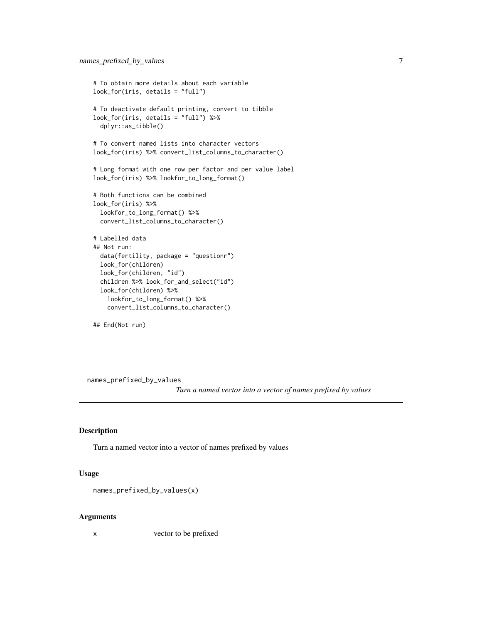```
# To obtain more details about each variable
look_for(iris, details = "full")
# To deactivate default printing, convert to tibble
look_for(iris, details = "full") %>%
  dplyr::as_tibble()
# To convert named lists into character vectors
look_for(iris) %>% convert_list_columns_to_character()
# Long format with one row per factor and per value label
look_for(iris) %>% lookfor_to_long_format()
# Both functions can be combined
look_for(iris) %>%
  lookfor_to_long_format() %>%
  convert_list_columns_to_character()
# Labelled data
## Not run:
  data(fertility, package = "questionr")
  look_for(children)
  look_for(children, "id")
  children %>% look_for_and_select("id")
  look_for(children) %>%
    lookfor_to_long_format() %>%
    convert_list_columns_to_character()
```
## End(Not run)

names\_prefixed\_by\_values

*Turn a named vector into a vector of names prefixed by values*

#### Description

Turn a named vector into a vector of names prefixed by values

#### Usage

```
names_prefixed_by_values(x)
```
#### Arguments

x vector to be prefixed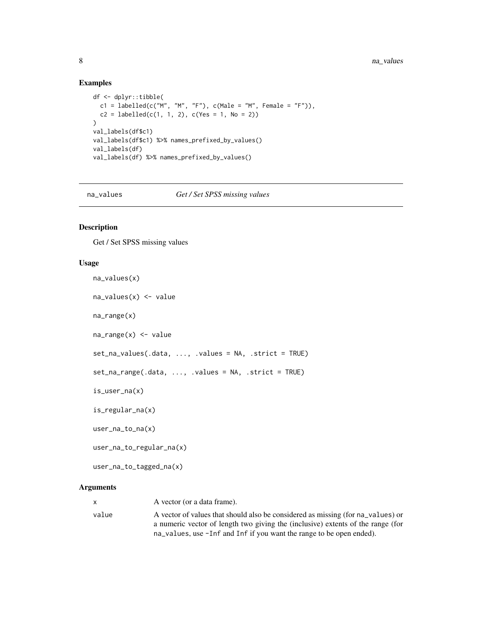#### Examples

```
df <- dplyr::tibble(
  c1 = labelled(c("M", "M", "F"), c(Male = "M", Female = "F"))c2 = \text{labelled}(c(1, 1, 2), c(Yes = 1, No = 2))\lambdaval_labels(df$c1)
val_labels(df$c1) %>% names_prefixed_by_values()
val_labels(df)
val_labels(df) %>% names_prefixed_by_values()
```
na\_values *Get / Set SPSS missing values*

### <span id="page-7-1"></span>Description

Get / Set SPSS missing values

#### Usage

```
na_values(x)
na_values(x) <- value
na_range(x)
na_range(x) <- value
set_na_values(.data, ..., .values = NA, .strict = TRUE)
set_na_range(.data, ..., .values = NA, .strict = TRUE)
is_user_na(x)
is_regular_na(x)
user_na_to_na(x)
user_na_to_regular_na(x)
user_na_to_tagged_na(x)
```
# Arguments

x A vector (or a data frame). value A vector of values that should also be considered as missing (for na\_values) or a numeric vector of length two giving the (inclusive) extents of the range (for na\_values, use -Inf and Inf if you want the range to be open ended).

<span id="page-7-0"></span>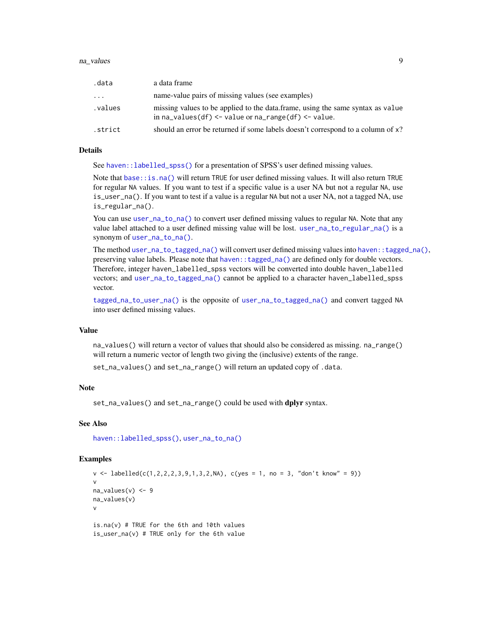#### <span id="page-8-0"></span>na\_values 9

| .data   | a data frame                                                                                                                             |
|---------|------------------------------------------------------------------------------------------------------------------------------------------|
| .       | name-value pairs of missing values (see examples)                                                                                        |
| .values | missing values to be applied to the data. frame, using the same syntax as value<br>in $na_values(df) < -valueor na_range(df) < -value$ . |
| .strict | should an error be returned if some labels doesn't correspond to a column of x?                                                          |

#### Details

See [haven::labelled\\_spss\(\)](#page-0-0) for a presentation of SPSS's user defined missing values.

Note that [base::is.na\(\)](#page-0-0) will return TRUE for user defined missing values. It will also return TRUE for regular NA values. If you want to test if a specific value is a user NA but not a regular NA, use is\_user\_na(). If you want to test if a value is a regular NA but not a user NA, not a tagged NA, use is\_regular\_na().

You can use [user\\_na\\_to\\_na\(\)](#page-7-1) to convert user defined missing values to regular NA. Note that any value label attached to a user defined missing value will be lost. [user\\_na\\_to\\_regular\\_na\(\)](#page-7-1) is a synonym of [user\\_na\\_to\\_na\(\)](#page-7-1).

The method [user\\_na\\_to\\_tagged\\_na\(\)](#page-7-1) will convert user defined missing values into [haven::tagged\\_na\(\)](#page-0-0), preserving value labels. Please note that [haven::tagged\\_na\(\)](#page-0-0) are defined only for double vectors. Therefore, integer haven\_labelled\_spss vectors will be converted into double haven\_labelled vectors; and [user\\_na\\_to\\_tagged\\_na\(\)](#page-7-1) cannot be applied to a character haven\_labelled\_spss vector.

[tagged\\_na\\_to\\_user\\_na\(\)](#page-15-1) is the opposite of [user\\_na\\_to\\_tagged\\_na\(\)](#page-7-1) and convert tagged NA into user defined missing values.

# Value

na\_values() will return a vector of values that should also be considered as missing. na\_range() will return a numeric vector of length two giving the (inclusive) extents of the range.

set\_na\_values() and set\_na\_range() will return an updated copy of .data.

# Note

set\_na\_values() and set\_na\_range() could be used with dplyr syntax.

#### See Also

[haven::labelled\\_spss\(\)](#page-0-0), [user\\_na\\_to\\_na\(\)](#page-7-1)

#### Examples

 $v \leq 1$ abelled(c(1,2,2,2,3,9,1,3,2,NA), c(yes = 1, no = 3, "don't know" = 9)) v  $na\_values(v) < -9$ na\_values(v) v is.na(v) # TRUE for the 6th and 10th values is\_user\_na(v) # TRUE only for the 6th value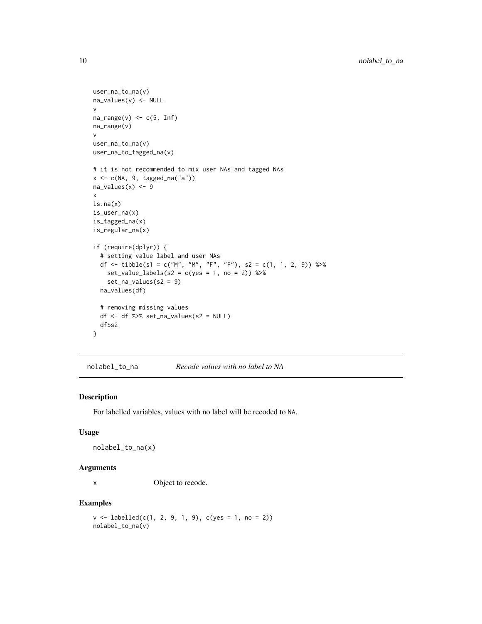```
user_na_to_na(v)
na_values(v) <- NULL
v
na\_range(v) \leq c(5, Inf)na_range(v)
v
user_na_to_na(v)
user_na_to_tagged_na(v)
# it is not recommended to mix user NAs and tagged NAs
x \leftarrow c(NA, 9, tagged_na("a"))na\_values(x) < -9x
is.na(x)
is_user_na(x)
is_tagged_na(x)
is_regular_na(x)
if (require(dplyr)) {
  # setting value label and user NAs
  df <- tibble(s1 = c("M", "M", "F", "F"), s2 = c(1, 1, 2, 9)) %>%
    set_value_labels(s2 = c(yes = 1, no = 2)) %\ggset_na_values(s2 = 9)
  na_values(df)
  # removing missing values
  df <- df %>% set_na_values(s2 = NULL)
  df$s2
}
```
nolabel\_to\_na *Recode values with no label to NA*

#### Description

For labelled variables, values with no label will be recoded to NA.

#### Usage

nolabel\_to\_na(x)

#### Arguments

x Object to recode.

```
v \le labelled(c(1, 2, 9, 1, 9), c(yes = 1, no = 2))
nolabel_to_na(v)
```
<span id="page-9-0"></span>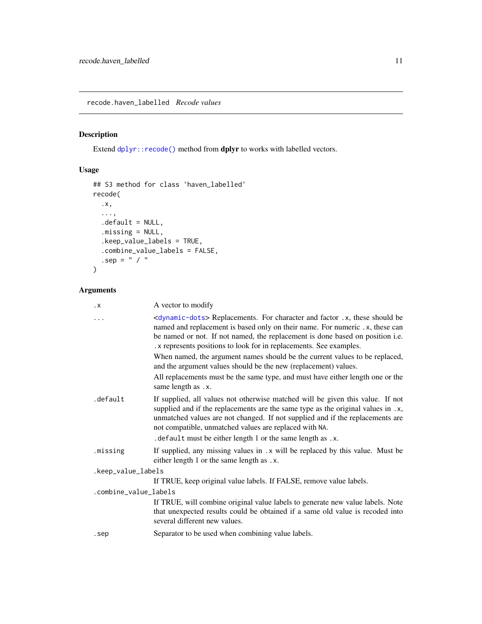<span id="page-10-0"></span>recode.haven\_labelled *Recode values*

# Description

Extend [dplyr::recode\(\)](#page-0-0) method from dplyr to works with labelled vectors.

# Usage

```
## S3 method for class 'haven_labelled'
recode(
  .x,
  ...,
 .default = NULL,
  .missing = NULL,
  .keep_value_labels = TRUE,
  .combine_value_labels = FALSE,
  .sep = " / "\mathcal{L}
```
# Arguments

| $\cdot$ X             | A vector to modify                                                                                                                                                                                                                                                                                                                 |
|-----------------------|------------------------------------------------------------------------------------------------------------------------------------------------------------------------------------------------------------------------------------------------------------------------------------------------------------------------------------|
| .                     | <dynamic-dots> Replacements. For character and factor .x, these should be<br/>named and replacement is based only on their name. For numeric .x, these can<br/>be named or not. If not named, the replacement is done based on position i.e.<br/>.x represents positions to look for in replacements. See examples.</dynamic-dots> |
|                       | When named, the argument names should be the current values to be replaced,<br>and the argument values should be the new (replacement) values.                                                                                                                                                                                     |
|                       | All replacements must be the same type, and must have either length one or the<br>same length as .x.                                                                                                                                                                                                                               |
| .default              | If supplied, all values not otherwise matched will be given this value. If not<br>supplied and if the replacements are the same type as the original values in .x,<br>unmatched values are not changed. If not supplied and if the replacements are<br>not compatible, unmatched values are replaced with NA.                      |
|                       | . default must be either length 1 or the same length as .x.                                                                                                                                                                                                                                                                        |
| .missing              | If supplied, any missing values in .x will be replaced by this value. Must be<br>either length 1 or the same length as .x.                                                                                                                                                                                                         |
| .keep_value_labels    |                                                                                                                                                                                                                                                                                                                                    |
|                       | If TRUE, keep original value labels. If FALSE, remove value labels.                                                                                                                                                                                                                                                                |
| .combine_value_labels |                                                                                                                                                                                                                                                                                                                                    |
|                       | If TRUE, will combine original value labels to generate new value labels. Note<br>that unexpected results could be obtained if a same old value is recoded into<br>several different new values.                                                                                                                                   |
| .sep                  | Separator to be used when combining value labels.                                                                                                                                                                                                                                                                                  |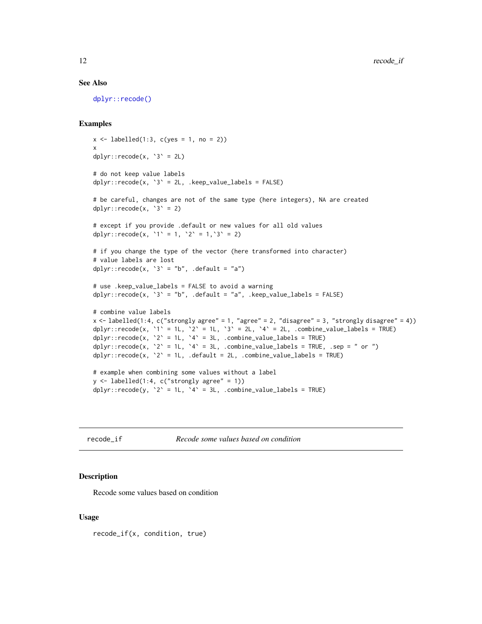#### See Also

[dplyr::recode\(\)](#page-0-0)

#### Examples

```
x \le - labelled(1:3, c(yes = 1, no = 2))
x
dplyr::recode(x, '3' = 2L)# do not keep value labels
dplyr::recode(x, '3' = 2L, .keep_value_labels = FALSE)# be careful, changes are not of the same type (here integers), NA are created
dplyr::recode(x, '3' = 2)# except if you provide .default or new values for all old values
dplyr::recode(x, '1' = 1, '2' = 1, '3' = 2)# if you change the type of the vector (here transformed into character)
# value labels are lost
dplyr::\text{recode}(x, '3' = "b", \text{ .default} = "a")# use .keep_value_labels = FALSE to avoid a warning
dplyr::recode(x, `3` = "b", .default = "a", .keep_value_labels = FALSE)
# combine value labels
x \leftarrow labelled(1:4, c("strongly agree" = 1, "agree" = 2, "disagree" = 3, "strongly disagree" = 4))
dplyr::recode(x, `1` = 1L, `2` = 1L, `3` = 2L, `4` = 2L, .combine_value_labels = TRUE)
dplyr::\text{recode}(x, '2' = 1L, '4' = 3L, .combine\_value\_labels = TRUE)dplyr::recode(x, \angle 2 = 1L, \angle 4 = 3L, .combine_value_labels = TRUE, .sep = " or ")
dplyr::recode(x, '2' = 1L, .default = 2L, .combine_value_labels = TRUE)# example when combining some values without a label
y <- labelled(1:4, c("strongly agree" = 1))
dplyr::recode(y, '2' = 1L, '4' = 3L, .combine_value_labels = TRUE)
```
recode\_if *Recode some values based on condition*

#### Description

Recode some values based on condition

#### Usage

recode\_if(x, condition, true)

<span id="page-11-0"></span>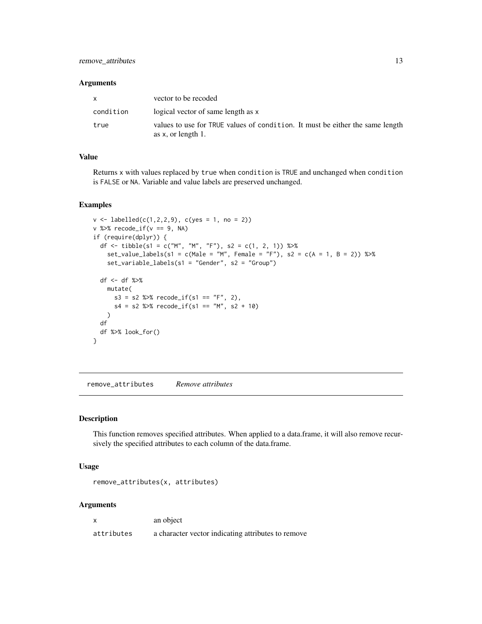# <span id="page-12-0"></span>remove\_attributes 13

#### Arguments

| $\mathsf{x}$ | vector to be recoded                                                                                   |
|--------------|--------------------------------------------------------------------------------------------------------|
| condition    | logical vector of same length as x                                                                     |
| true         | values to use for TRUE values of condition. It must be either the same length<br>as $x$ , or length 1. |

# Value

Returns x with values replaced by true when condition is TRUE and unchanged when condition is FALSE or NA. Variable and value labels are preserved unchanged.

### Examples

```
v \le labelled(c(1,2,2,9), c(yes = 1, no = 2))
v %>% recode_if(v == 9, NA)
if (require(dplyr)) {
  df <- tibble(s1 = c("M", "M", "F"), s2 = c(1, 2, 1)) %>%
    set_value_labels(s1 = c(Male = "M", Female = "F"), s2 = c(A = 1, B = 2)) %>%
   set_variable_labels(s1 = "Gender", s2 = "Group")
  df <- df %>%
   mutate(
     s3 = s2 %>% recode_if(s1 == "F", 2),
      s4 = s2 %>% recode_if(s1 == "M", s2 + 10)
   )
  df
  df %>% look_for()
}
```
remove\_attributes *Remove attributes*

# Description

This function removes specified attributes. When applied to a data.frame, it will also remove recursively the specified attributes to each column of the data.frame.

#### Usage

remove\_attributes(x, attributes)

#### Arguments

x an object

attributes a character vector indicating attributes to remove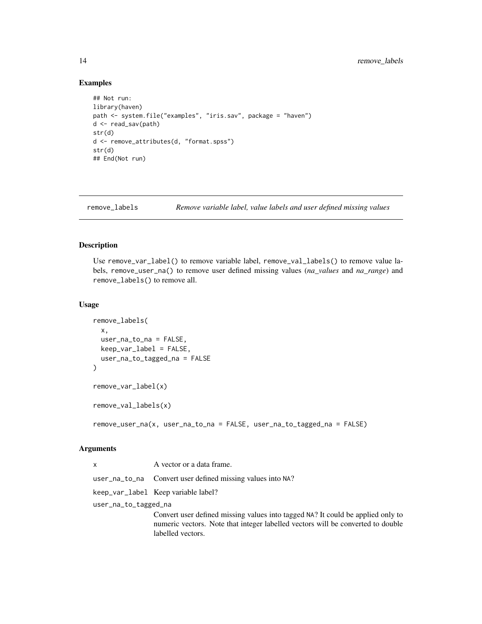#### Examples

```
## Not run:
library(haven)
path <- system.file("examples", "iris.sav", package = "haven")
d <- read_sav(path)
str(d)
d <- remove_attributes(d, "format.spss")
str(d)
## End(Not run)
```
remove\_labels *Remove variable label, value labels and user defined missing values*

#### <span id="page-13-1"></span>Description

Use remove\_var\_label() to remove variable label, remove\_val\_labels() to remove value labels, remove\_user\_na() to remove user defined missing values (*na\_values* and *na\_range*) and remove\_labels() to remove all.

#### Usage

```
remove_labels(
 x,
 user_na_to_na = FALSE,
 keep_var_label = FALSE,
 user_na_to_tagged_na = FALSE
)
remove_var_label(x)
remove_val_labels(x)
```
remove\_user\_na(x, user\_na\_to\_na = FALSE, user\_na\_to\_tagged\_na = FALSE)

#### Arguments

| $\mathsf{x}$         | A vector or a data frame.                                  |
|----------------------|------------------------------------------------------------|
|                      | user_na_to_na Convert user defined missing values into NA? |
|                      | keep_var_label Keep variable label?                        |
| user_na_to_tagged_na |                                                            |
|                      | Convert user defined missing values into tagged NA? It     |
|                      | numeric vectors. Note that integer labelled vectors will   |

could be applied only to numeric vectors. Note that integer labelled vectors will be converted to double labelled vectors.

<span id="page-13-0"></span>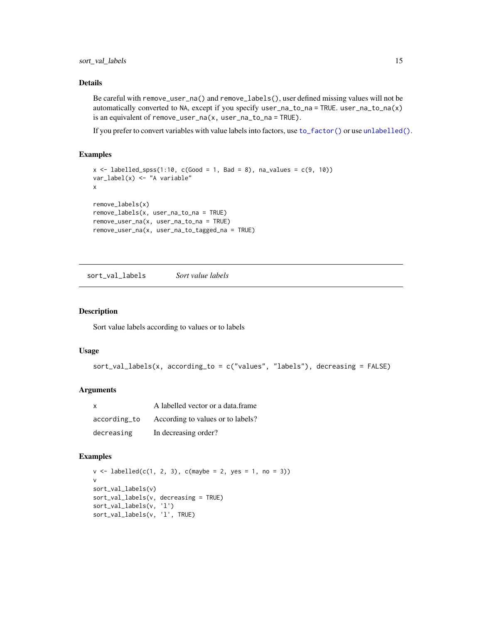### <span id="page-14-0"></span>Details

Be careful with remove\_user\_na() and remove\_labels(), user defined missing values will not be automatically converted to NA, except if you specify user\_na\_to\_na = TRUE. user\_na\_to\_na(x) is an equivalent of remove\_user\_na(x, user\_na\_to\_na = TRUE).

If you prefer to convert variables with value labels into factors, use [to\\_factor\(\)](#page-17-1) or use [unlabelled\(\)](#page-17-2).

#### Examples

```
x \le - labelled_spss(1:10, c(Good = 1, Bad = 8), na_values = c(9, 10))
var_label(x) <- "A variable"
x
remove_labels(x)
remove_labels(x, user_na_to_na = TRUE)
remove_user_na(x, user_na_to_na = TRUE)
remove_user_na(x, user_na_to_tagged_na = TRUE)
```
sort\_val\_labels *Sort value labels*

#### Description

Sort value labels according to values or to labels

#### Usage

```
sort_val_labels(x, according_to = c("values", "labels"), decreasing = FALSE)
```
# Arguments

| $\mathsf{x}$ | A labelled vector or a data.frame |
|--------------|-----------------------------------|
| according_to | According to values or to labels? |
| decreasing   | In decreasing order?              |

```
v \le labelled(c(1, 2, 3), c(maybe = 2, yes = 1, no = 3))
v
sort_val_labels(v)
sort_val_labels(v, decreasing = TRUE)
sort_val_labels(v, 'l')
sort_val_labels(v, 'l', TRUE)
```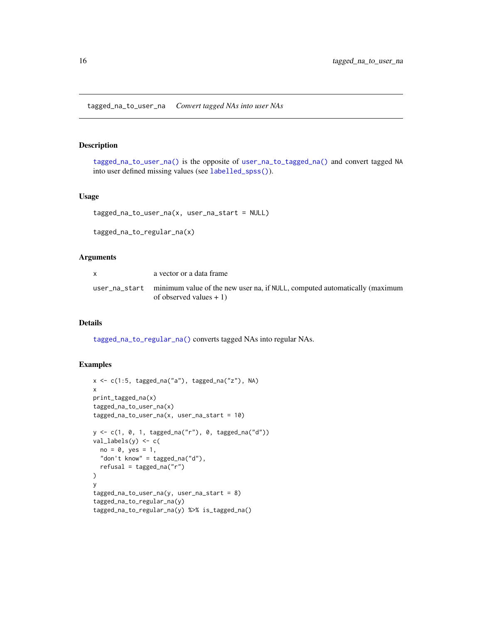#### <span id="page-15-2"></span><span id="page-15-1"></span><span id="page-15-0"></span>Description

[tagged\\_na\\_to\\_user\\_na\(\)](#page-15-1) is the opposite of [user\\_na\\_to\\_tagged\\_na\(\)](#page-7-1) and convert tagged NA into user defined missing values (see [labelled\\_spss\(\)](#page-0-0)).

#### Usage

```
tagged_na_to_user_na(x, user_na_start = NULL)
```
tagged\_na\_to\_regular\_na(x)

#### Arguments

| a vector or a data frame                                                                                              |
|-----------------------------------------------------------------------------------------------------------------------|
| user_na_start minimum value of the new user na, if NULL, computed automatically (maximum<br>of observed values $+1$ ) |

# Details

[tagged\\_na\\_to\\_regular\\_na\(\)](#page-15-2) converts tagged NAs into regular NAs.

```
x <- c(1:5, tagged_na("a"), tagged_na("z"), NA)
x
print_tagged_na(x)
tagged_na_to_user_na(x)
tagged_na_to_user_na(x, user_na_start = 10)
y <- c(1, 0, 1, tagged_na("r"), 0, tagged_na("d"))
val_labels(y) <- c(
 no = 0, yes = 1,"don't know" = tagged_na("d"),
  refusal = tagged_na("r")
)
y
tagged_na_to_user_na(y, user_na_start = 8)
tagged_na_to_regular_na(y)
tagged_na_to_regular_na(y) %>% is_tagged_na()
```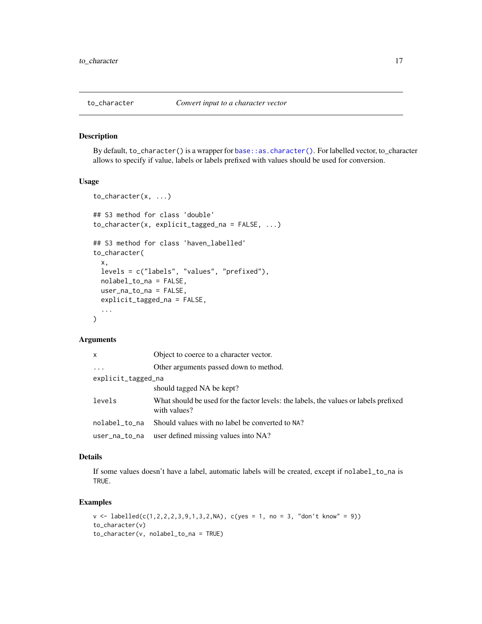<span id="page-16-0"></span>

#### Description

By default, to\_character() is a wrapper for [base::as.character\(\)](#page-0-0). For labelled vector, to\_character allows to specify if value, labels or labels prefixed with values should be used for conversion.

# Usage

```
to_character(x, ...)
## S3 method for class 'double'
to_character(x, explicit_tagged_na = FALSE, ...)
## S3 method for class 'haven_labelled'
to_character(
  x,
 levels = c("labels", "values", "prefixed"),
 nolabel_to_na = FALSE,
 user_na_to_na = FALSE,
 explicit_tagged_na = FALSE,
  ...
)
```
# Arguments

| x                  | Object to coerce to a character vector.                                                              |
|--------------------|------------------------------------------------------------------------------------------------------|
| $\cdots$           | Other arguments passed down to method.                                                               |
| explicit_tagged_na |                                                                                                      |
|                    | should tagged NA be kept?                                                                            |
| levels             | What should be used for the factor levels: the labels, the values or labels prefixed<br>with values? |
| nolabel_to_na      | Should values with no label be converted to NA?                                                      |
| user_na_to_na      | user defined missing values into NA?                                                                 |

# Details

If some values doesn't have a label, automatic labels will be created, except if nolabel\_to\_na is TRUE.

```
v \leq 1abelled(c(1,2,2,2,3,9,1,3,2,NA), c(yes = 1, no = 3, "don't know" = 9))
to_character(v)
to_character(v, nolabel_to_na = TRUE)
```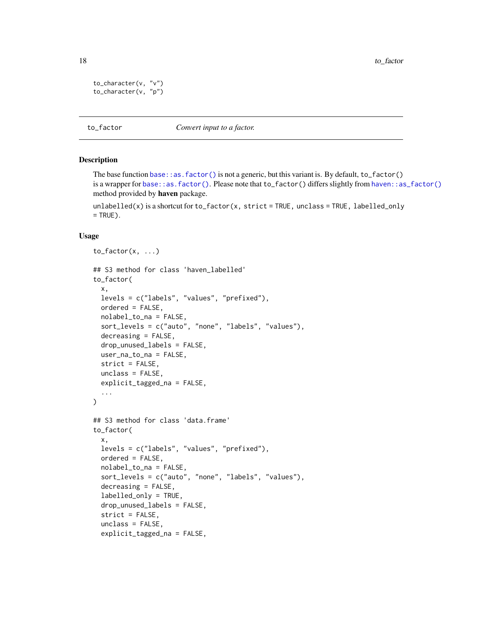```
to_character(v, "v")
to_character(v, "p")
```
<span id="page-17-1"></span>to\_factor *Convert input to a factor.*

### <span id="page-17-2"></span>**Description**

The base function [base::as.factor\(\)](#page-0-0) is not a generic, but this variant is. By default, to\_factor() is a wrapper for [base::as.factor\(\)](#page-0-0). Please note that to\_factor() differs slightly from [haven::as\\_factor\(\)](#page-0-0) method provided by haven package.

unlabelled(x) is a shortcut for  $to_f$  actor(x, strict = TRUE, unclass = TRUE, labelled\_only  $=$  TRUE).

#### Usage

```
to_factor(x, \ldots)## S3 method for class 'haven_labelled'
to_factor(
 x,
 levels = c("labels", "values", "prefixed"),
 ordered = FALSE,
 nolabel_to_na = FALSE,
  sort_levels = c("auto", "none", "labels", "values"),
  decreasing = FALSE,
  drop_unused_labels = FALSE,
 user_na_to_na = FALSE,
  strict = FALSE,
 unclass = FALSE,
 explicit_tagged_na = FALSE,
  ...
\mathcal{L}## S3 method for class 'data.frame'
to_factor(
 x,
  levels = c("labels", "values", "prefixed"),
 ordered = FALSE,
 nolabel_to_na = FALSE,
  sort_levels = c("auto", "none", "labels", "values"),
  decreasing = FALSE,
  labelled_only = TRUE,
  drop_unused_labels = FALSE,
  strict = FALSE,
  unclass = FALSE,
  explicit_tagged_na = FALSE,
```
<span id="page-17-0"></span>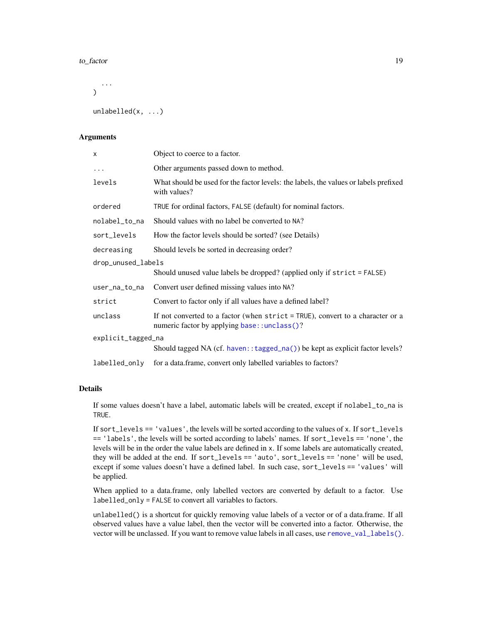#### <span id="page-18-0"></span>to\_factor 19

... )

unlabelled(x, ...)

# **Arguments**

| x                  | Object to coerce to a factor.                                                                                                    |  |
|--------------------|----------------------------------------------------------------------------------------------------------------------------------|--|
| $\ddots$           | Other arguments passed down to method.                                                                                           |  |
| levels             | What should be used for the factor levels: the labels, the values or labels prefixed<br>with values?                             |  |
| ordered            | TRUE for ordinal factors, FALSE (default) for nominal factors.                                                                   |  |
| nolabel_to_na      | Should values with no label be converted to NA?                                                                                  |  |
| sort_levels        | How the factor levels should be sorted? (see Details)                                                                            |  |
| decreasing         | Should levels be sorted in decreasing order?                                                                                     |  |
| drop_unused_labels |                                                                                                                                  |  |
|                    | Should unused value labels be dropped? (applied only if strict = FALSE)                                                          |  |
| user_na_to_na      | Convert user defined missing values into NA?                                                                                     |  |
| strict             | Convert to factor only if all values have a defined label?                                                                       |  |
| unclass            | If not converted to a factor (when $strict = TRUE$ ), convert to a character or a<br>numeric factor by applying base::unclass()? |  |
| explicit_tagged_na |                                                                                                                                  |  |
|                    | Should tagged NA (cf. haven:: tagged_na()) be kept as explicit factor levels?                                                    |  |
| labelled_only      | for a data.frame, convert only labelled variables to factors?                                                                    |  |

# Details

If some values doesn't have a label, automatic labels will be created, except if nolabel\_to\_na is TRUE.

If sort\_levels == 'values', the levels will be sorted according to the values of x. If sort\_levels == 'labels', the levels will be sorted according to labels' names. If sort\_levels == 'none', the levels will be in the order the value labels are defined in x. If some labels are automatically created, they will be added at the end. If sort\_levels == 'auto', sort\_levels == 'none' will be used, except if some values doesn't have a defined label. In such case, sort\_levels == 'values' will be applied.

When applied to a data.frame, only labelled vectors are converted by default to a factor. Use labelled\_only = FALSE to convert all variables to factors.

unlabelled() is a shortcut for quickly removing value labels of a vector or of a data.frame. If all observed values have a value label, then the vector will be converted into a factor. Otherwise, the vector will be unclassed. If you want to remove value labels in all cases, use [remove\\_val\\_labels\(\)](#page-13-1).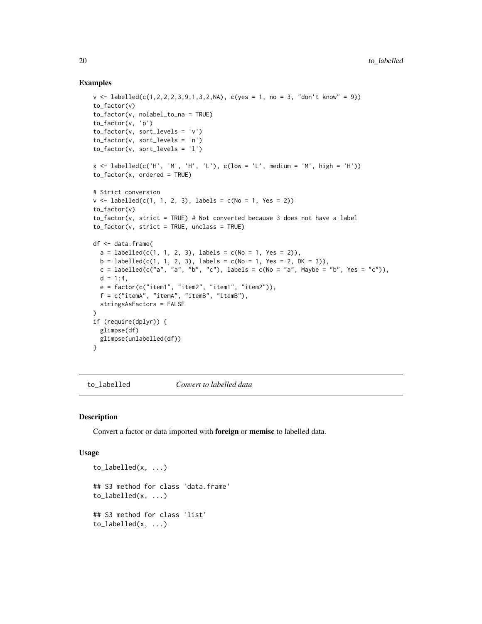#### Examples

```
v \le labelled(c(1,2,2,2,3,9,1,3,2,NA), c(yes = 1, no = 3, "don't know" = 9))
to_factor(v)
to_factor(v, nolabel_to_na = TRUE)
to_factor(v, 'p')
to_factor(v, sort_levels = 'v')
to_factor(v, sort_levels = 'n')
to_factor(v, sort_levels = 'l')
x \leq 1abelled(c('H', 'M', 'H', 'L'), c(low = 'L', medium = 'M', high = 'H'))
to_factor(x, ordered = TRUE)
# Strict conversion
v \le labelled(c(1, 1, 2, 3), labels = c(No = 1, Yes = 2))
to_factor(v)
to_factor(v, strict = TRUE) # Not converted because 3 does not have a label
to_factor(v, strict = TRUE, unclass = TRUE)df <- data.frame(
  a = \text{labelled}(c(1, 1, 2, 3), \text{labels} = c(No = 1, Yes = 2)),b = \text{labelled}(c(1, 1, 2, 3), \text{labels} = c(No = 1, Yes = 2, DK = 3)),c = labelled(c("a", "a", "b", "c"), labels = c(No = "a", Maybe = "b", Yes = "c")),
  d = 1:4,
  e = factor(c("item1", "item2", "item1", "item2")),
  f = c("itemA", "itemA", "itemB", "itemB"),
  stringsAsFactors = FALSE
)
if (require(dplyr)) {
  glimpse(df)
 glimpse(unlabelled(df))
}
```
<span id="page-19-1"></span>to\_labelled *Convert to labelled data*

#### Description

Convert a factor or data imported with foreign or memisc to labelled data.

#### Usage

```
to_labelled(x, ...)
## S3 method for class 'data.frame'
to_labelled(x, ...)
## S3 method for class 'list'
to_labelled(x, ...)
```
<span id="page-19-0"></span>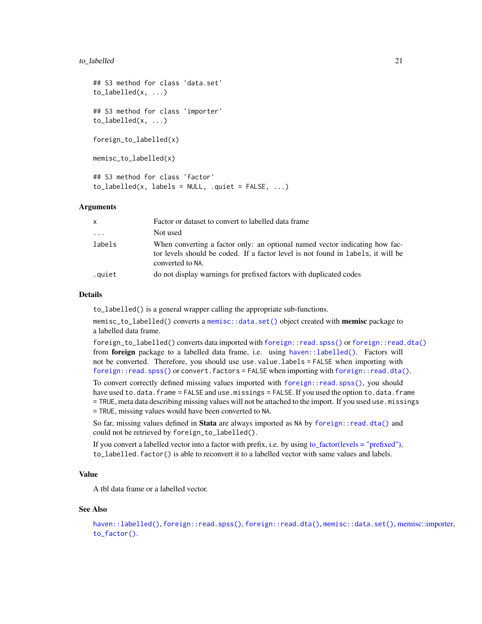#### <span id="page-20-0"></span>to\_labelled 21

```
## S3 method for class 'data.set'
to_labelled(x, ...)
## S3 method for class 'importer'
to_labelled(x, ...)
foreign_to_labelled(x)
memisc_to_labelled(x)
## S3 method for class 'factor'
to labeled(x, labels = NULL, right, -quite = FALSE, ...)
```
# Arguments

| X        | Factor or dataset to convert to labelled data frame                                                                                                                                 |
|----------|-------------------------------------------------------------------------------------------------------------------------------------------------------------------------------------|
| $\ddots$ | Not used                                                                                                                                                                            |
| labels   | When converting a factor only: an optional named vector indicating how fac-<br>tor levels should be coded. If a factor level is not found in labels, it will be<br>converted to NA. |
| .quiet   | do not display warnings for prefixed factors with duplicated codes                                                                                                                  |

#### Details

to\_labelled() is a general wrapper calling the appropriate sub-functions.

memisc\_to\_labelled() converts a [memisc::data.set\(\)](#page-0-0) object created with **memisc** package to a labelled data frame.

foreign\_to\_labelled() converts data imported with [foreign::read.spss\(\)](#page-0-0) or [foreign::read.dta\(\)](#page-0-0) from foreign package to a labelled data frame, i.e. using [haven::labelled\(\)](#page-0-0). Factors will not be converted. Therefore, you should use use.value.labels = FALSE when importing with [foreign::read.spss\(\)](#page-0-0) or convert.factors = FALSE when importing with [foreign::read.dta\(\)](#page-0-0).

To convert correctly defined missing values imported with [foreign::read.spss\(\)](#page-0-0), you should have used to.data.frame = FALSE and use.missings = FALSE. If you used the option to.data.frame = TRUE, meta data describing missing values will not be attached to the import. If you used use.missings = TRUE, missing values would have been converted to NA.

So far, missing values defined in Stata are always imported as NA by [foreign::read.dta\(\)](#page-0-0) and could not be retrieved by foreign\_to\_labelled().

If you convert a labelled vector into a factor with prefix, i.e. by using [to\\_factor\(levels = "prefixed"\),](#page-17-1) to\_labelled.factor() is able to reconvert it to a labelled vector with same values and labels.

#### Value

A tbl data frame or a labelled vector.

#### See Also

```
haven::labelled(), foreign::read.spss(), foreign::read.dta(), memisc::data.set(), memisc::importer,
to_factor().
```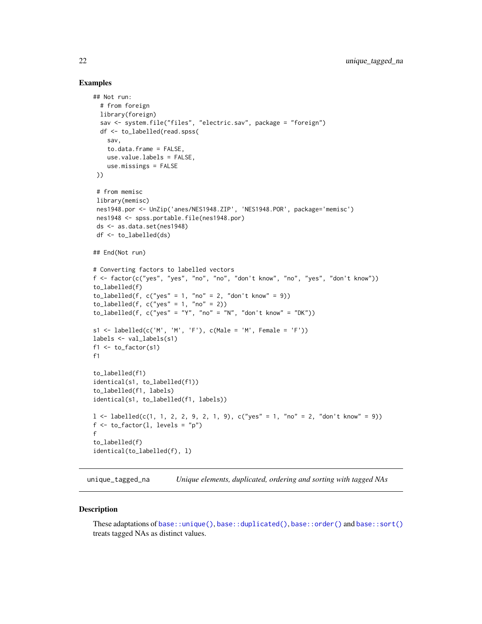#### Examples

```
## Not run:
  # from foreign
  library(foreign)
  sav <- system.file("files", "electric.sav", package = "foreign")
  df <- to_labelled(read.spss(
   sav,
    to.data.frame = FALSE,
   use.value.labels = FALSE,
    use.missings = FALSE
 ))
 # from memisc
 library(memisc)
 nes1948.por <- UnZip('anes/NES1948.ZIP', 'NES1948.POR', package='memisc')
 nes1948 <- spss.portable.file(nes1948.por)
ds <- as.data.set(nes1948)
df <- to_labelled(ds)
## End(Not run)
# Converting factors to labelled vectors
f <- factor(c("yes", "yes", "no", "no", "don't know", "no", "yes", "don't know"))
to_labelled(f)
to_labelled(f, c("yes" = 1, "no" = 2, "don't know" = 9))
to_labelled(f, c("yes" = 1, "no" = 2))to_labelled(f, c("yes" = "Y", "no" = "N", "don't know" = "DK"))
s1 <- labelled(c('M', 'M', 'F'), c(Male = 'M', Female = 'F'))
labels <- val_labels(s1)
f1 \leftarrow to_factor(s1)f1
to_labelled(f1)
identical(s1, to_labelled(f1))
to_labelled(f1, labels)
identical(s1, to_labelled(f1, labels))
l < - labelled(c(1, 1, 2, 2, 9, 2, 1, 9), c("yes" = 1, "no" = 2, "don't know" = 9))
f \leftarrow to_factor(1, levels = "p")f
to_labelled(f)
identical(to_labelled(f), l)
```
unique\_tagged\_na *Unique elements, duplicated, ordering and sorting with tagged NAs*

#### Description

These adaptations of [base::unique\(\)](#page-0-0), [base::duplicated\(\)](#page-0-0), [base::order\(\)](#page-0-0) and [base::sort\(\)](#page-0-0) treats tagged NAs as distinct values.

<span id="page-21-0"></span>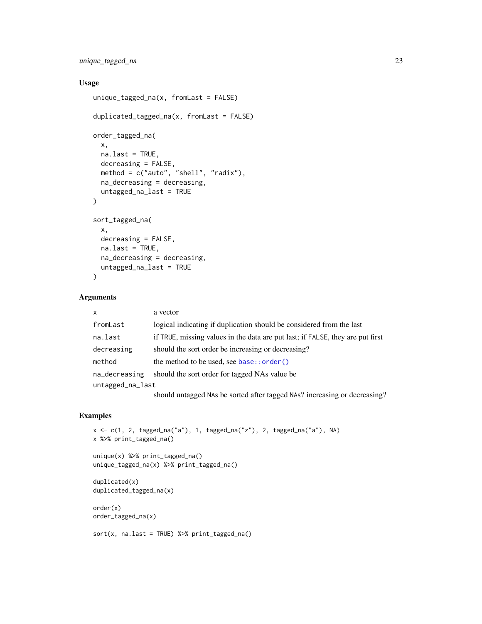<span id="page-22-0"></span>unique\_tagged\_na 23

# Usage

```
unique\_tagged_na(x, fromLast = FALSE)duplicated_tagged_na(x, fromLast = FALSE)
order_tagged_na(
  x,
 na.last = TRUE,
 decreasing = FALSE,
 method = c("auto", "shell", "radix"),
 na_decreasing = decreasing,
 untagged_na_last = TRUE
)
sort_tagged_na(
  x,
 decreasing = FALSE,
 na.last = TRUE,
 na_decreasing = decreasing,
 untagged_na_last = TRUE
\mathcal{L}
```
# Arguments

| $\mathsf{x}$     | a vector                                                                       |  |
|------------------|--------------------------------------------------------------------------------|--|
| fromLast         | logical indicating if duplication should be considered from the last           |  |
| na.last          | if TRUE, missing values in the data are put last; if FALSE, they are put first |  |
| decreasing       | should the sort order be increasing or decreasing?                             |  |
| method           | the method to be used, see $base::order()$                                     |  |
| na_decreasing    | should the sort order for tagged NAs value be                                  |  |
| untagged_na_last |                                                                                |  |
|                  | should untagged NAs be sorted after tagged NAs? increasing or decreasing?      |  |

```
x <- c(1, 2, tagged_na("a"), 1, tagged_na("z"), 2, tagged_na("a"), NA)
x %>% print_tagged_na()
unique(x) %>% print_tagged_na()
unique_tagged_na(x) %>% print_tagged_na()
duplicated(x)
duplicated_tagged_na(x)
order(x)
order_tagged_na(x)
sort(x, \text{na}.last = TRUE) %>% print\_tagged_na()
```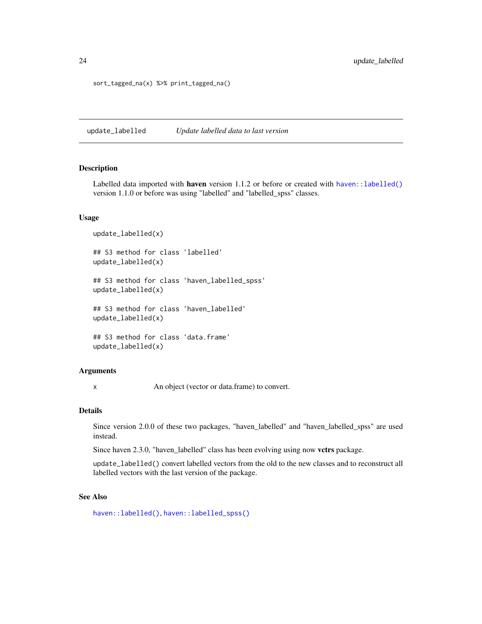sort\_tagged\_na(x) %>% print\_tagged\_na()

update\_labelled *Update labelled data to last version*

#### Description

Labelled data imported with haven version 1.1.2 or before or created with [haven::labelled\(\)](#page-0-0) version 1.1.0 or before was using "labelled" and "labelled\_spss" classes.

#### Usage

update\_labelled(x) ## S3 method for class 'labelled' update\_labelled(x) ## S3 method for class 'haven\_labelled\_spss' update\_labelled(x) ## S3 method for class 'haven\_labelled' update\_labelled(x) ## S3 method for class 'data.frame'

#### update\_labelled(x)

#### **Arguments**

x An object (vector or data.frame) to convert.

#### Details

Since version 2.0.0 of these two packages, "haven\_labelled" and "haven\_labelled\_spss" are used instead.

Since haven 2.3.0, "haven\_labelled" class has been evolving using now vctrs package.

update\_labelled() convert labelled vectors from the old to the new classes and to reconstruct all labelled vectors with the last version of the package.

#### See Also

[haven::labelled\(\)](#page-0-0), [haven::labelled\\_spss\(\)](#page-0-0)

<span id="page-23-0"></span>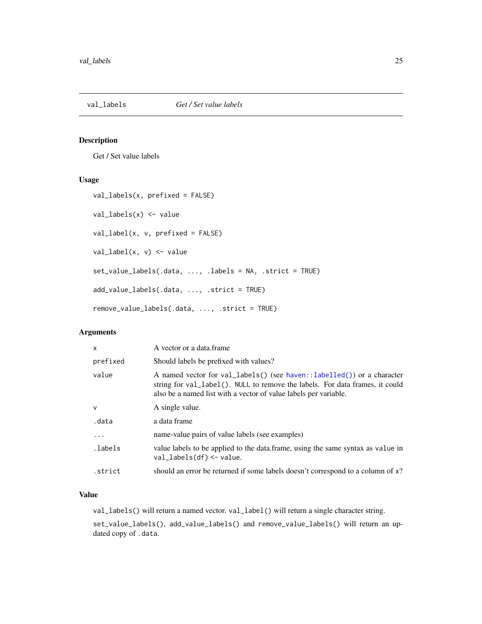<span id="page-24-0"></span>

#### Description

Get / Set value labels

# Usage

```
val_labels(x, prefixed = FALSE)
val_labels(x) <- value
val_label(x, v, prefixed = FALSE)
val_label(x, v) <- value
set_value_labels(.data, ..., .labels = NA, .strict = TRUE)
add_value_labels(.data, ..., .strict = TRUE)
remove_value_labels(.data, ..., .strict = TRUE)
```
# Arguments

| $\mathsf{x}$ | A vector or a data frame                                                                                                                                                                                                   |
|--------------|----------------------------------------------------------------------------------------------------------------------------------------------------------------------------------------------------------------------------|
| prefixed     | Should labels be prefixed with values?                                                                                                                                                                                     |
| value        | A named vector for val_labels() (see haven::labelled()) or a character<br>string for val_label(). NULL to remove the labels. For data frames, it could<br>also be a named list with a vector of value labels per variable. |
| $\mathsf{V}$ | A single value.                                                                                                                                                                                                            |
| .data        | a data frame                                                                                                                                                                                                               |
| .            | name-value pairs of value labels (see examples)                                                                                                                                                                            |
| .labels      | value labels to be applied to the data. frame, using the same syntax as value in<br>$val_labels(df) < - value$ .                                                                                                           |
| .strict      | should an error be returned if some labels doesn't correspond to a column of x?                                                                                                                                            |

# Value

val\_labels() will return a named vector. val\_label() will return a single character string.

set\_value\_labels(), add\_value\_labels() and remove\_value\_labels() will return an updated copy of .data.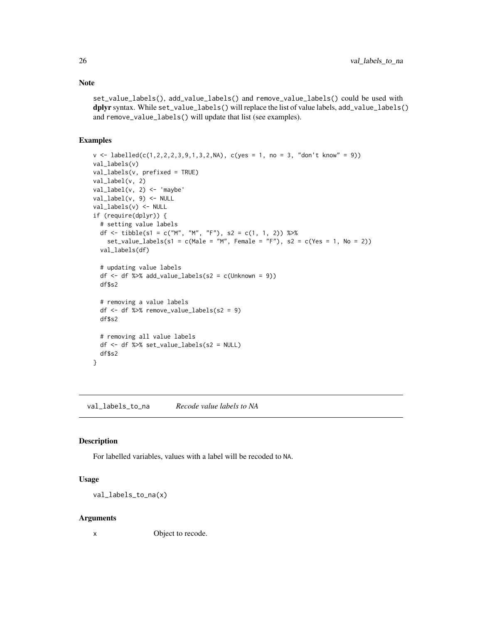Note

set\_value\_labels(), add\_value\_labels() and remove\_value\_labels() could be used with dplyr syntax. While set\_value\_labels() will replace the list of value labels, add\_value\_labels() and remove\_value\_labels() will update that list (see examples).

### Examples

```
v \leq 1abelled(c(1,2,2,2,3,9,1,3,2,NA), c(yes = 1, no = 3, "don't know" = 9))
val_labels(v)
val_labels(v, prefixed = TRUE)
val_label(v, 2)
val_label(v, 2) <- 'maybe'
val_label(v, 9) <- NULL
val_labels(v) <- NULL
if (require(dplyr)) {
  # setting value labels
  df <- tibble(s1 = c("M", "M", "F"), s2 = c(1, 1, 2)) %>%
    set_value_labels(s1 = c(Male = "M", Female = "F"), s2 = c(Yes = 1, No = 2))
  val_labels(df)
  # updating value labels
  df \leftarrow df %>% add_value_labels(s2 = c(Unknown = 9))
  df$s2
  # removing a value labels
  df \le df %>% remove_value_labels(s2 = 9)
  df$s2
  # removing all value labels
  df <- df %>% set_value_labels(s2 = NULL)
  df$s2
}
```
val\_labels\_to\_na *Recode value labels to NA*

#### Description

For labelled variables, values with a label will be recoded to NA.

#### Usage

val\_labels\_to\_na(x)

#### Arguments

x Object to recode.

<span id="page-25-0"></span>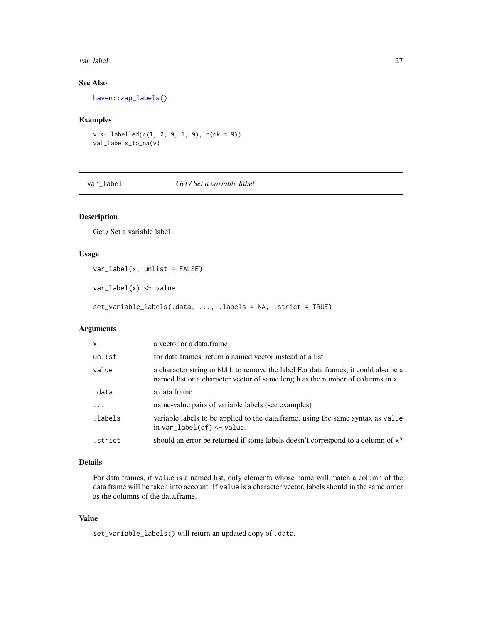#### <span id="page-26-0"></span>var\_label 27

# See Also

[haven::zap\\_labels\(\)](#page-0-0)

#### Examples

 $v \le$  labelled(c(1, 2, 9, 1, 9), c(dk = 9)) val\_labels\_to\_na(v)

var\_label *Get / Set a variable label*

# Description

Get / Set a variable label

#### Usage

var\_label(x, unlist = FALSE)

var\_label(x) <- value

set\_variable\_labels(.data, ..., .labels = NA, .strict = TRUE)

# Arguments

| x        | a vector or a data.frame                                                                                                                                             |
|----------|----------------------------------------------------------------------------------------------------------------------------------------------------------------------|
| unlist   | for data frames, return a named vector instead of a list                                                                                                             |
| value    | a character string or NULL to remove the label For data frames, it could also be a<br>named list or a character vector of same length as the number of columns in x. |
| .data    | a data frame                                                                                                                                                         |
| $\cdots$ | name-value pairs of variable labels (see examples)                                                                                                                   |
| .labels. | variable labels to be applied to the data. frame, using the same syntax as value<br>in $var$ Iabel(df) $\le$ - value.                                                |
| .strict  | should an error be returned if some labels doesn't correspond to a column of x?                                                                                      |

### Details

For data frames, if value is a named list, only elements whose name will match a column of the data frame will be taken into account. If value is a character vector, labels should in the same order as the columns of the data.frame.

# Value

set\_variable\_labels() will return an updated copy of .data.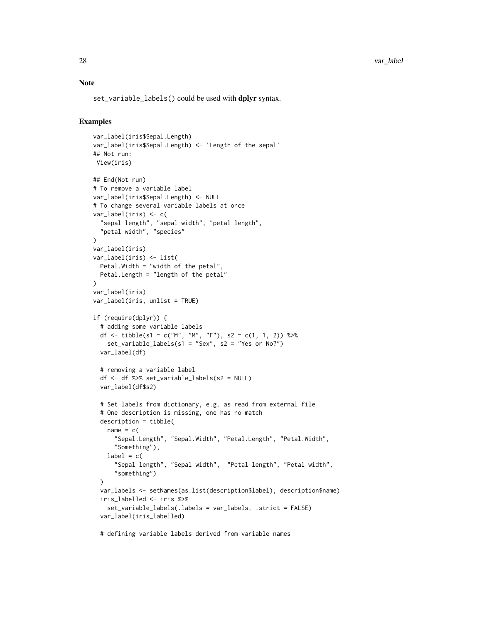#### Note

set\_variable\_labels() could be used with dplyr syntax.

```
var_label(iris$Sepal.Length)
var_label(iris$Sepal.Length) <- 'Length of the sepal'
## Not run:
View(iris)
## End(Not run)
# To remove a variable label
var_label(iris$Sepal.Length) <- NULL
# To change several variable labels at once
var_label(iris) <- c(
  "sepal length", "sepal width", "petal length",
  "petal width", "species"
\lambdavar_label(iris)
var_label(iris) <- list(
  Petal.Width = "width of the petal",
 Petal.Length = "length of the petal"
)
var_label(iris)
var_label(iris, unlist = TRUE)
if (require(dplyr)) {
  # adding some variable labels
  df <- tibble(s1 = c("M", "M", "F"), s2 = c(1, 1, 2)) %>%
    set_variable_labels(s1 = "Sex", s2 = "Yes or No?")
  var_label(df)
  # removing a variable label
  df <- df %>% set_variable_labels(s2 = NULL)
  var_label(df$s2)
  # Set labels from dictionary, e.g. as read from external file
  # One description is missing, one has no match
  description = tibble(
    name = c("Sepal.Length", "Sepal.Width", "Petal.Length", "Petal.Width",
      "Something"),
    label = c("Sepal length", "Sepal width", "Petal length", "Petal width",
      "something")
  \lambdavar_labels <- setNames(as.list(description$label), description$name)
  iris_labelled <- iris %>%
    set_variable_labels(.labels = var_labels, .strict = FALSE)
  var_label(iris_labelled)
  # defining variable labels derived from variable names
```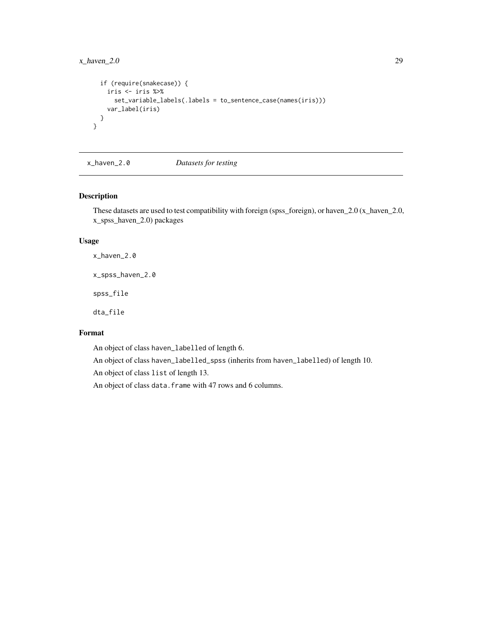# <span id="page-28-0"></span> $x_h = 2.0$  29

```
if (require(snakecase)) {
   iris <- iris %>%
     set_variable_labels(.labels = to_sentence_case(names(iris)))
   var_label(iris)
 }
}
```
x\_haven\_2.0 *Datasets for testing*

# Description

These datasets are used to test compatibility with foreign (spss\_foreign), or haven\_2.0 (x\_haven\_2.0, x\_spss\_haven\_2.0) packages

#### Usage

x\_haven\_2.0

x\_spss\_haven\_2.0

spss\_file

dta\_file

# Format

An object of class haven\_labelled of length 6.

An object of class haven\_labelled\_spss (inherits from haven\_labelled) of length 10.

An object of class list of length 13.

An object of class data.frame with 47 rows and 6 columns.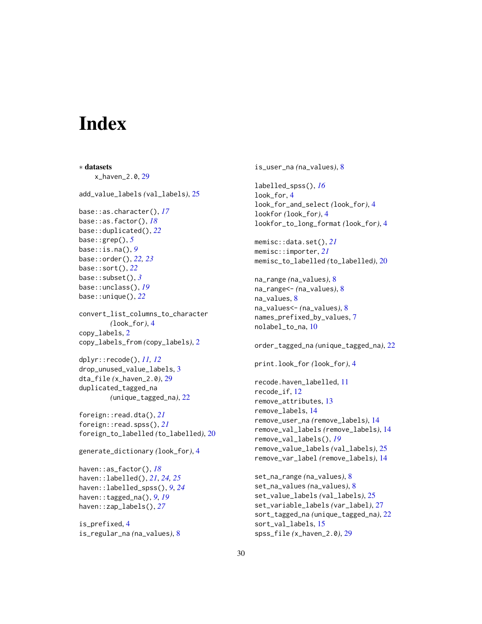# <span id="page-29-0"></span>**Index**

∗ datasets x\_haven\_2.0, [29](#page-28-0) add\_value\_labels *(*val\_labels*)*, [25](#page-24-0) base::as.character(), *[17](#page-16-0)* base::as.factor(), *[18](#page-17-0)* base::duplicated(), *[22](#page-21-0)* base::grep(), *[5](#page-4-0)* base::is.na(), *[9](#page-8-0)* base::order(), *[22,](#page-21-0) [23](#page-22-0)* base::sort(), *[22](#page-21-0)* base::subset(), *[3](#page-2-0)* base::unclass(), *[19](#page-18-0)* base::unique(), *[22](#page-21-0)* convert\_list\_columns\_to\_character *(*look\_for*)*, [4](#page-3-0) copy\_labels, [2](#page-1-0) copy\_labels\_from *(*copy\_labels*)*, [2](#page-1-0) dplyr::recode(), *[11,](#page-10-0) [12](#page-11-0)* drop\_unused\_value\_labels, [3](#page-2-0) dta\_file *(*x\_haven\_2.0*)*, [29](#page-28-0) duplicated\_tagged\_na *(*unique\_tagged\_na*)*, [22](#page-21-0) foreign::read.dta(), *[21](#page-20-0)* foreign::read.spss(), *[21](#page-20-0)* foreign\_to\_labelled *(*to\_labelled*)*, [20](#page-19-0) generate\_dictionary *(*look\_for*)*, [4](#page-3-0) haven::as\_factor(), *[18](#page-17-0)* haven::labelled(), *[21](#page-20-0)*, *[24,](#page-23-0) [25](#page-24-0)* haven::labelled\_spss(), *[9](#page-8-0)*, *[24](#page-23-0)* haven::tagged\_na(), *[9](#page-8-0)*, *[19](#page-18-0)* haven::zap\_labels(), *[27](#page-26-0)* is\_prefixed, [4](#page-3-0) is\_regular\_na *(*na\_values*)*, [8](#page-7-0)

is\_user\_na *(*na\_values*)*, [8](#page-7-0) labelled\_spss(), *[16](#page-15-0)* look\_for, [4](#page-3-0) look\_for\_and\_select *(*look\_for*)*, [4](#page-3-0) lookfor *(*look\_for*)*, [4](#page-3-0) lookfor\_to\_long\_format *(*look\_for*)*, [4](#page-3-0) memisc::data.set(), *[21](#page-20-0)* memisc::importer, *[21](#page-20-0)* memisc\_to\_labelled *(*to\_labelled*)*, [20](#page-19-0) na\_range *(*na\_values*)*, [8](#page-7-0) na\_range<- *(*na\_values*)*, [8](#page-7-0) na\_values, [8](#page-7-0) na\_values<- *(*na\_values*)*, [8](#page-7-0) names\_prefixed\_by\_values, [7](#page-6-0) nolabel\_to\_na, [10](#page-9-0) order\_tagged\_na *(*unique\_tagged\_na*)*, [22](#page-21-0) print.look\_for *(*look\_for*)*, [4](#page-3-0) recode.haven\_labelled, [11](#page-10-0) recode\_if, [12](#page-11-0) remove\_attributes, [13](#page-12-0) remove\_labels, [14](#page-13-0) remove\_user\_na *(*remove\_labels*)*, [14](#page-13-0) remove\_val\_labels *(*remove\_labels*)*, [14](#page-13-0) remove\_val\_labels(), *[19](#page-18-0)* remove\_value\_labels *(*val\_labels*)*, [25](#page-24-0) remove\_var\_label *(*remove\_labels*)*, [14](#page-13-0) set\_na\_range *(*na\_values*)*, [8](#page-7-0) set\_na\_values *(*na\_values*)*, [8](#page-7-0) set\_value\_labels *(*val\_labels*)*, [25](#page-24-0) set\_variable\_labels *(*var\_label*)*, [27](#page-26-0) sort\_tagged\_na *(*unique\_tagged\_na*)*, [22](#page-21-0) sort\_val\_labels, [15](#page-14-0)

spss\_file *(*x\_haven\_2.0*)*, [29](#page-28-0)